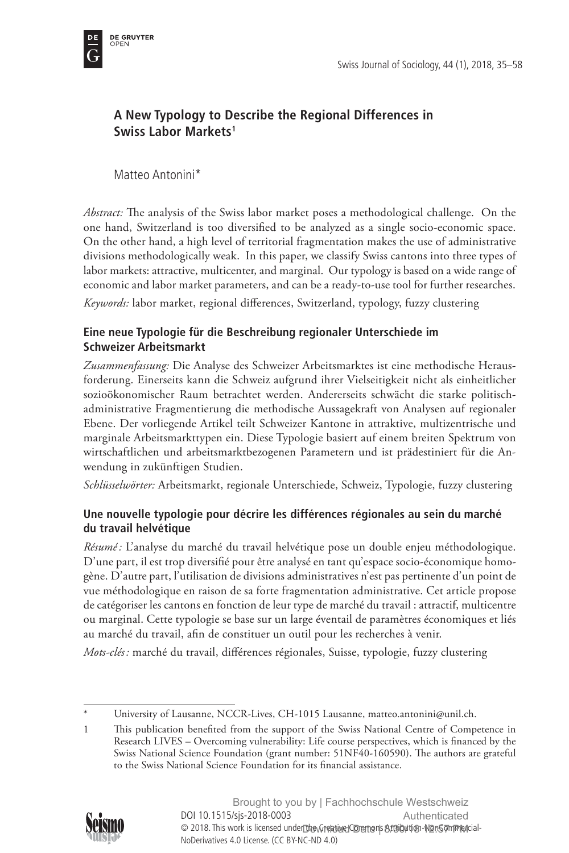

# **A New Typology to Describe the Regional Differences in Swiss Labor Markets1**

Matteo Antonini\*

*Abstract:* The analysis of the Swiss labor market poses a methodological challenge. On the one hand, Switzerland is too diversified to be analyzed as a single socio-economic space. On the other hand, a high level of territorial fragmentation makes the use of administrative divisions methodologically weak. In this paper, we classify Swiss cantons into three types of labor markets: attractive, multicenter, and marginal. Our typology is based on a wide range of economic and labor market parameters, and can be a ready-to-use tool for further researches.

*Keywords:* labor market, regional differences, Switzerland, typology, fuzzy clustering

## **Eine neue Typologie für die Beschreibung regionaler Unterschiede im Schweizer Arbeitsmarkt**

*Zusammenfassung:* Die Analyse des Schweizer Arbeitsmarktes ist eine methodische Herausforderung. Einerseits kann die Schweiz aufgrund ihrer Vielseitigkeit nicht als einheitlicher sozioökonomischer Raum betrachtet werden. Andererseits schwächt die starke politischadministrative Fragmentierung die methodische Aussagekraft von Analysen auf regionaler Ebene. Der vorliegende Artikel teilt Schweizer Kantone in attraktive, multizentrische und marginale Arbeitsmarkttypen ein. Diese Typologie basiert auf einem breiten Spektrum von wirtschaftlichen und arbeitsmarktbezogenen Parametern und ist prädestiniert für die Anwendung in zukünftigen Studien.

*Schlüsselwörter:* Arbeitsmarkt, regionale Unterschiede, Schweiz, Typologie, fuzzy clustering

## **Une nouvelle typologie pour décrire les différences régionales au sein du marché du travail helvétique**

*Résumé:* L'analyse du marché du travail helvétique pose un double enjeu méthodologique. D'une part, il est trop diversifié pour être analysé en tant qu'espace socio-économique homogène. D'autre part, l'utilisation de divisions administratives n'est pas pertinente d'un point de vue méthodologique en raison de sa forte fragmentation administrative. Cet article propose de catégoriser les cantons en fonction de leur type de marché du travail : attractif, multicentre ou marginal. Cette typologie se base sur un large éventail de paramètres économiques et liés au marché du travail, afin de constituer un outil pour les recherches à venir.

*Mots-clés :* marché du travail, différences régionales, Suisse, typologie, fuzzy clustering

<sup>1</sup> This publication benefited from the support of the Swiss National Centre of Competence in Research LIVES – Overcoming vulnerability: Life course perspectives, which is financed by the Swiss National Science Foundation (grant number: 51NF40-160590). The authors are grateful to the Swiss National Science Foundation for its financial assistance.



University of Lausanne, NCCR-Lives, CH-1015 Lausanne, [matteo.antonini@unil.ch](mailto:matteo.antonini@unil.ch).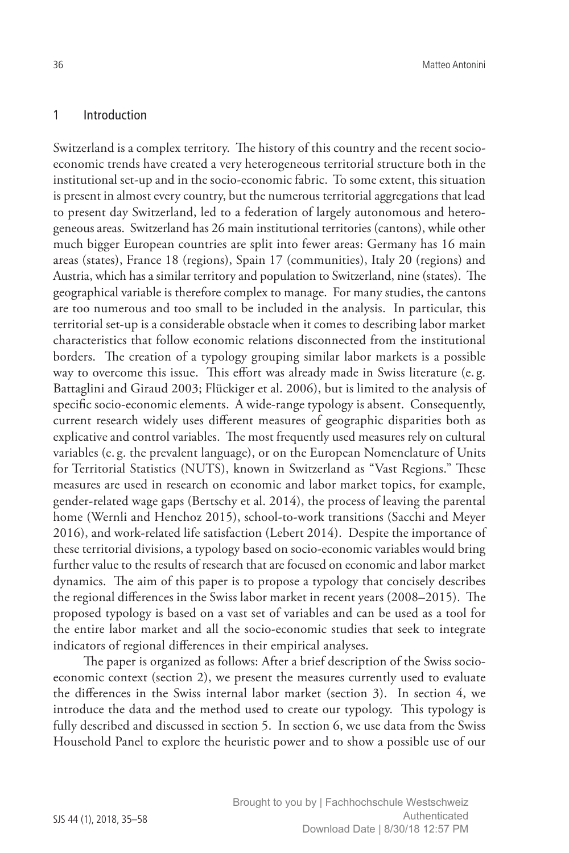### 1 Introduction

Switzerland is a complex territory. The history of this country and the recent socioeconomic trends have created a very heterogeneous territorial structure both in the institutional set-up and in the socio-economic fabric. To some extent, this situation is present in almost every country, but the numerous territorial aggregations that lead to present day Switzerland, led to a federation of largely autonomous and heterogeneous areas. Switzerland has 26 main institutional territories (cantons), while other much bigger European countries are split into fewer areas: Germany has 16 main areas (states), France 18 (regions), Spain 17 (communities), Italy 20 (regions) and Austria, which has a similar territory and population to Switzerland, nine (states). The geographical variable is therefore complex to manage. For many studies, the cantons are too numerous and too small to be included in the analysis. In particular, this territorial set-up is a considerable obstacle when it comes to describing labor market characteristics that follow economic relations disconnected from the institutional borders. The creation of a typology grouping similar labor markets is a possible way to overcome this issue. This effort was already made in Swiss literature (e. g. Battaglini and Giraud 2003; Flückiger et al. 2006), but is limited to the analysis of specific socio-economic elements. A wide-range typology is absent. Consequently, current research widely uses different measures of geographic disparities both as explicative and control variables. The most frequently used measures rely on cultural variables (e. g. the prevalent language), or on the European Nomenclature of Units for Territorial Statistics (NUTS), known in Switzerland as "Vast Regions." These measures are used in research on economic and labor market topics, for example, gender-related wage gaps (Bertschy et al. 2014), the process of leaving the parental home (Wernli and Henchoz 2015), school-to-work transitions (Sacchi and Meyer 2016), and work-related life satisfaction (Lebert 2014). Despite the importance of these territorial divisions, a typology based on socio-economic variables would bring further value to the results of research that are focused on economic and labor market dynamics. The aim of this paper is to propose a typology that concisely describes the regional differences in the Swiss labor market in recent years (2008–2015). The proposed typology is based on a vast set of variables and can be used as a tool for the entire labor market and all the socio-economic studies that seek to integrate indicators of regional differences in their empirical analyses.

The paper is organized as follows: After a brief description of the Swiss socioeconomic context (section 2), we present the measures currently used to evaluate the differences in the Swiss internal labor market (section 3). In section 4, we introduce the data and the method used to create our typology. This typology is fully described and discussed in section 5. In section 6, we use data from the Swiss Household Panel to explore the heuristic power and to show a possible use of our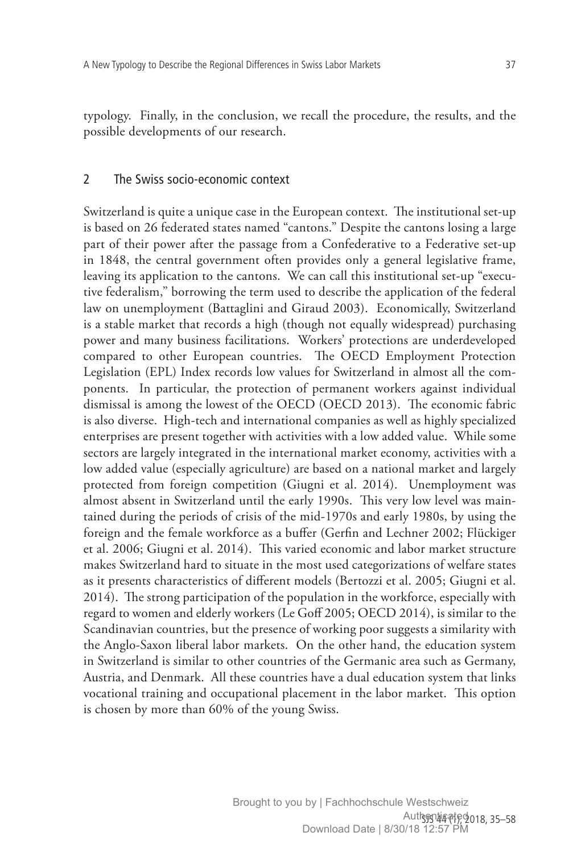typology. Finally, in the conclusion, we recall the procedure, the results, and the possible developments of our research.

#### 2 The Swiss socio-economic context

Switzerland is quite a unique case in the European context. The institutional set-up is based on 26 federated states named "cantons." Despite the cantons losing a large part of their power after the passage from a Confederative to a Federative set-up in 1848, the central government often provides only a general legislative frame, leaving its application to the cantons. We can call this institutional set-up "executive federalism," borrowing the term used to describe the application of the federal law on unemployment (Battaglini and Giraud 2003). Economically, Switzerland is a stable market that records a high (though not equally widespread) purchasing power and many business facilitations. Workers' protections are underdeveloped compared to other European countries. The OECD Employment Protection Legislation (EPL) Index records low values for Switzerland in almost all the components. In particular, the protection of permanent workers against individual dismissal is among the lowest of the OECD (OECD 2013). The economic fabric is also diverse. High-tech and international companies as well as highly specialized enterprises are present together with activities with a low added value. While some sectors are largely integrated in the international market economy, activities with a low added value (especially agriculture) are based on a national market and largely protected from foreign competition (Giugni et al. 2014). Unemployment was almost absent in Switzerland until the early 1990s. This very low level was maintained during the periods of crisis of the mid-1970s and early 1980s, by using the foreign and the female workforce as a buffer (Gerfin and Lechner 2002; Flückiger et al. 2006; Giugni et al. 2014). This varied economic and labor market structure makes Switzerland hard to situate in the most used categorizations of welfare states as it presents characteristics of different models (Bertozzi et al. 2005; Giugni et al. 2014). The strong participation of the population in the workforce, especially with regard to women and elderly workers (Le Goff 2005; OECD 2014), is similar to the Scandinavian countries, but the presence of working poor suggests a similarity with the Anglo-Saxon liberal labor markets. On the other hand, the education system in Switzerland is similar to other countries of the Germanic area such as Germany, Austria, and Denmark. All these countries have a dual education system that links vocational training and occupational placement in the labor market. This option is chosen by more than 60% of the young Swiss.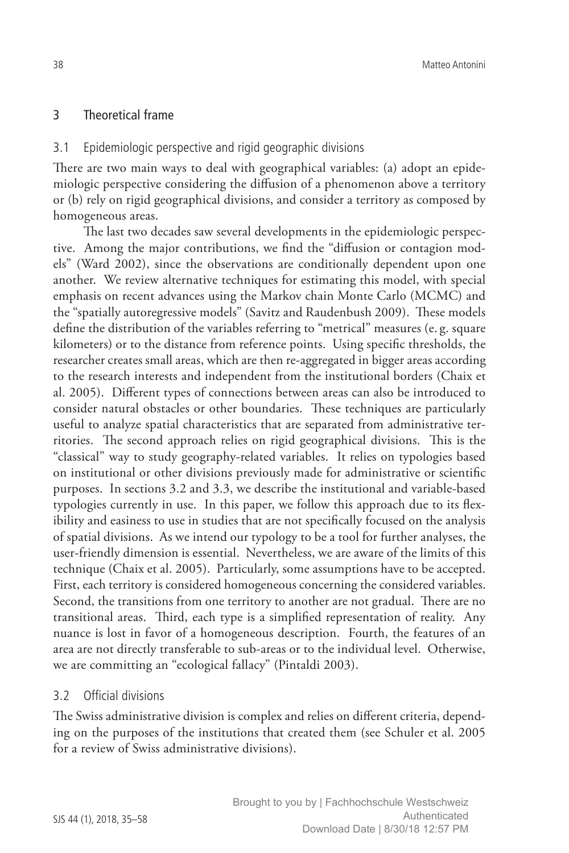## 3 Theoretical frame

### 3.1 Epidemiologic perspective and rigid geographic divisions

There are two main ways to deal with geographical variables: (a) adopt an epidemiologic perspective considering the diffusion of a phenomenon above a territory or (b) rely on rigid geographical divisions, and consider a territory as composed by homogeneous areas.

The last two decades saw several developments in the epidemiologic perspective. Among the major contributions, we find the "diffusion or contagion models" (Ward 2002), since the observations are conditionally dependent upon one another. We review alternative techniques for estimating this model, with special emphasis on recent advances using the Markov chain Monte Carlo (MCMC) and the "spatially autoregressive models" (Savitz and Raudenbush 2009). These models define the distribution of the variables referring to "metrical" measures (e. g. square kilometers) or to the distance from reference points. Using specific thresholds, the researcher creates small areas, which are then re-aggregated in bigger areas according to the research interests and independent from the institutional borders (Chaix et al. 2005). Different types of connections between areas can also be introduced to consider natural obstacles or other boundaries. These techniques are particularly useful to analyze spatial characteristics that are separated from administrative territories. The second approach relies on rigid geographical divisions. This is the "classical" way to study geography-related variables. It relies on typologies based on institutional or other divisions previously made for administrative or scientific purposes. In sections 3.2 and 3.3, we describe the institutional and variable-based typologies currently in use. In this paper, we follow this approach due to its flexibility and easiness to use in studies that are not specifically focused on the analysis of spatial divisions. As we intend our typology to be a tool for further analyses, the user-friendly dimension is essential. Nevertheless, we are aware of the limits of this technique (Chaix et al. 2005). Particularly, some assumptions have to be accepted. First, each territory is considered homogeneous concerning the considered variables. Second, the transitions from one territory to another are not gradual. There are no transitional areas. Third, each type is a simplified representation of reality. Any nuance is lost in favor of a homogeneous description. Fourth, the features of an area are not directly transferable to sub-areas or to the individual level. Otherwise, we are committing an "ecological fallacy" (Pintaldi 2003).

### 3.2 Official divisions

The Swiss administrative division is complex and relies on different criteria, depending on the purposes of the institutions that created them (see Schuler et al. 2005 for a review of Swiss administrative divisions).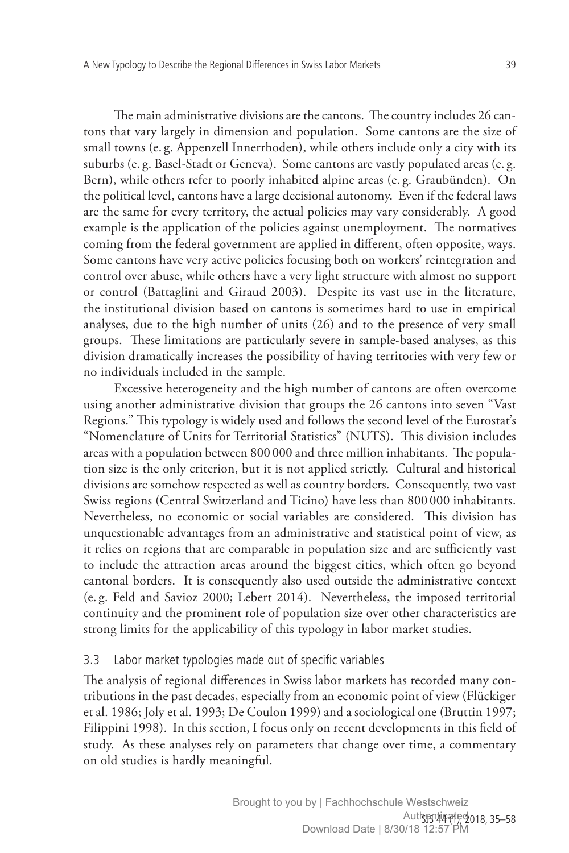The main administrative divisions are the cantons. The country includes 26 cantons that vary largely in dimension and population. Some cantons are the size of small towns (e. g. Appenzell Innerrhoden), while others include only a city with its suburbs (e. g. Basel-Stadt or Geneva). Some cantons are vastly populated areas (e. g. Bern), while others refer to poorly inhabited alpine areas (e. g. Graubünden). On the political level, cantons have a large decisional autonomy. Even if the federal laws are the same for every territory, the actual policies may vary considerably. A good example is the application of the policies against unemployment. The normatives coming from the federal government are applied in different, often opposite, ways. Some cantons have very active policies focusing both on workers' reintegration and control over abuse, while others have a very light structure with almost no support or control (Battaglini and Giraud 2003). Despite its vast use in the literature, the institutional division based on cantons is sometimes hard to use in empirical analyses, due to the high number of units (26) and to the presence of very small groups. These limitations are particularly severe in sample-based analyses, as this division dramatically increases the possibility of having territories with very few or no individuals included in the sample.

Excessive heterogeneity and the high number of cantons are often overcome using another administrative division that groups the 26 cantons into seven "Vast Regions." This typology is widely used and follows the second level of the Eurostat's "Nomenclature of Units for Territorial Statistics" (NUTS). This division includes areas with a population between 800 000 and three million inhabitants. The population size is the only criterion, but it is not applied strictly. Cultural and historical divisions are somehow respected as well as country borders. Consequently, two vast Swiss regions (Central Switzerland and Ticino) have less than 800 000 inhabitants. Nevertheless, no economic or social variables are considered. This division has unquestionable advantages from an administrative and statistical point of view, as it relies on regions that are comparable in population size and are sufficiently vast to include the attraction areas around the biggest cities, which often go beyond cantonal borders. It is consequently also used outside the administrative context (e. g. Feld and Savioz 2000; Lebert 2014). Nevertheless, the imposed territorial continuity and the prominent role of population size over other characteristics are strong limits for the applicability of this typology in labor market studies.

## 3.3 Labor market typologies made out of specific variables

The analysis of regional differences in Swiss labor markets has recorded many contributions in the past decades, especially from an economic point of view (Flückiger et al. 1986; Joly et al. 1993; De Coulon 1999) and a sociological one (Bruttin 1997; Filippini 1998). In this section, I focus only on recent developments in this field of study. As these analyses rely on parameters that change over time, a commentary on old studies is hardly meaningful.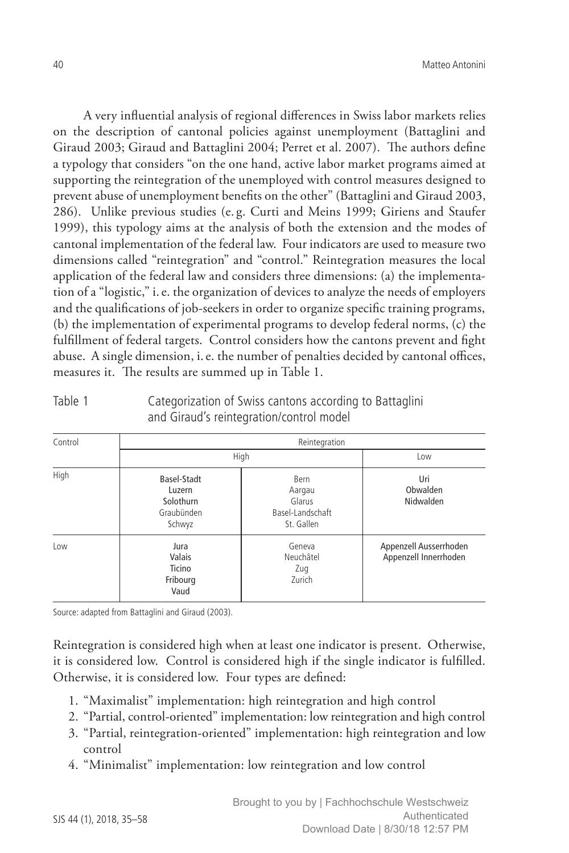A very influential analysis of regional differences in Swiss labor markets relies on the description of cantonal policies against unemployment (Battaglini and Giraud 2003; Giraud and Battaglini 2004; Perret et al. 2007). The authors define a typology that considers "on the one hand, active labor market programs aimed at supporting the reintegration of the unemployed with control measures designed to prevent abuse of unemployment benefits on the other" (Battaglini and Giraud 2003, 286). Unlike previous studies (e. g. Curti and Meins 1999; Giriens and Staufer 1999), this typology aims at the analysis of both the extension and the modes of cantonal implementation of the federal law. Four indicators are used to measure two dimensions called "reintegration" and "control." Reintegration measures the local application of the federal law and considers three dimensions: (a) the implementation of a "logistic," i.e. the organization of devices to analyze the needs of employers and the qualifications of job-seekers in order to organize specific training programs, (b) the implementation of experimental programs to develop federal norms, (c) the fulfillment of federal targets. Control considers how the cantons prevent and fight abuse. A single dimension, i.e. the number of penalties decided by cantonal offices, measures it. The results are summed up in Table 1.

| Control<br>High | Reintegration                                              |                                                            |                                                 |  |  |  |
|-----------------|------------------------------------------------------------|------------------------------------------------------------|-------------------------------------------------|--|--|--|
|                 | High                                                       | Low                                                        |                                                 |  |  |  |
|                 | Basel-Stadt<br>Luzern<br>Solothurn<br>Graubünden<br>Schwyz | Bern<br>Aargau<br>Glarus<br>Basel-Landschaft<br>St. Gallen | Uri<br>Obwalden<br>Nidwalden                    |  |  |  |
| Low             | Jura<br>Valais<br>Ticino<br>Fribourg<br>Vaud               | Geneva<br>Neuchâtel<br>Zug<br>Zurich                       | Appenzell Ausserrhoden<br>Appenzell Innerrhoden |  |  |  |

Table 1 Categorization of Swiss cantons according to Battaglini and Giraud's reintegration/control model

Source: adapted from Battaglini and Giraud (2003).

Reintegration is considered high when at least one indicator is present. Otherwise, it is considered low. Control is considered high if the single indicator is fulfilled. Otherwise, it is considered low. Four types are defined:

- 1. "Maximalist" implementation: high reintegration and high control
- 2. "Partial, control-oriented" implementation: low reintegration and high control
- 3. "Partial, reintegration-oriented" implementation: high reintegration and low control
- 4. "Minimalist" implementation: low reintegration and low control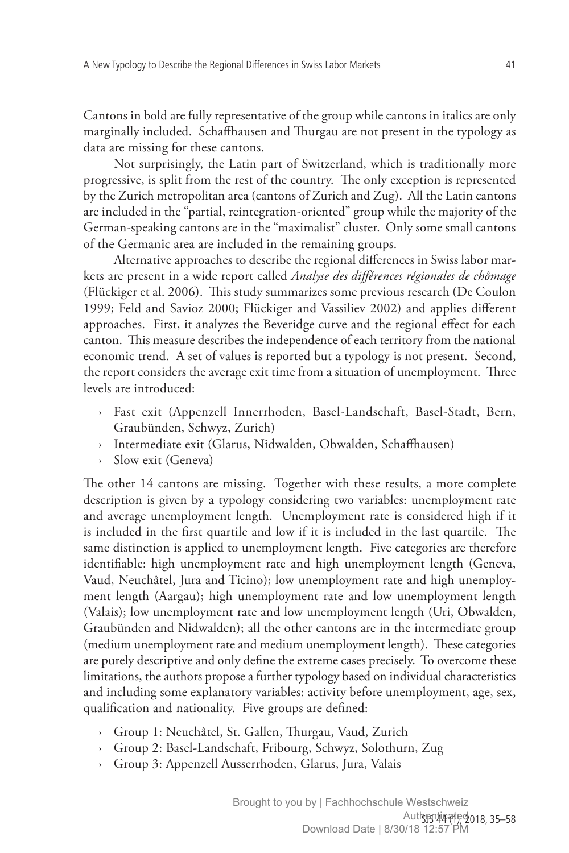Cantons in bold are fully representative of the group while cantons in italics are only marginally included. Schaffhausen and Thurgau are not present in the typology as data are missing for these cantons.

Not surprisingly, the Latin part of Switzerland, which is traditionally more progressive, is split from the rest of the country. The only exception is represented by the Zurich metropolitan area (cantons of Zurich and Zug). All the Latin cantons are included in the "partial, reintegration-oriented" group while the majority of the German-speaking cantons are in the "maximalist" cluster. Only some small cantons of the Germanic area are included in the remaining groups.

Alternative approaches to describe the regional differences in Swiss labor markets are present in a wide report called *Analyse des différences régionales de chômage* (Flückiger et al. 2006). This study summarizes some previous research (De Coulon 1999; Feld and Savioz 2000; Flückiger and Vassiliev 2002) and applies different approaches. First, it analyzes the Beveridge curve and the regional effect for each canton. This measure describes the independence of each territory from the national economic trend. A set of values is reported but a typology is not present. Second, the report considers the average exit time from a situation of unemployment. Three levels are introduced:

- › Fast exit (Appenzell Innerrhoden, Basel-Landschaft, Basel-Stadt, Bern, Graubünden, Schwyz, Zurich)
- Intermediate exit (Glarus, Nidwalden, Obwalden, Schaffhausen)
- Slow exit (Geneva)

The other 14 cantons are missing. Together with these results, a more complete description is given by a typology considering two variables: unemployment rate and average unemployment length. Unemployment rate is considered high if it is included in the first quartile and low if it is included in the last quartile. The same distinction is applied to unemployment length. Five categories are therefore identifiable: high unemployment rate and high unemployment length (Geneva, Vaud, Neuchâtel, Jura and Ticino); low unemployment rate and high unemployment length (Aargau); high unemployment rate and low unemployment length (Valais); low unemployment rate and low unemployment length (Uri, Obwalden, Graubünden and Nidwalden); all the other cantons are in the intermediate group (medium unemployment rate and medium unemployment length). These categories are purely descriptive and only define the extreme cases precisely. To overcome these limitations, the authors propose a further typology based on individual characteristics and including some explanatory variables: activity before unemployment, age, sex, qualification and nationality. Five groups are defined:

- › Group 1: Neuchâtel, St. Gallen, Thurgau, Vaud, Zurich
- › Group 2: Basel-Landschaft, Fribourg, Schwyz, Solothurn, Zug
- › Group 3: Appenzell Ausserrhoden, Glarus, Jura, Valais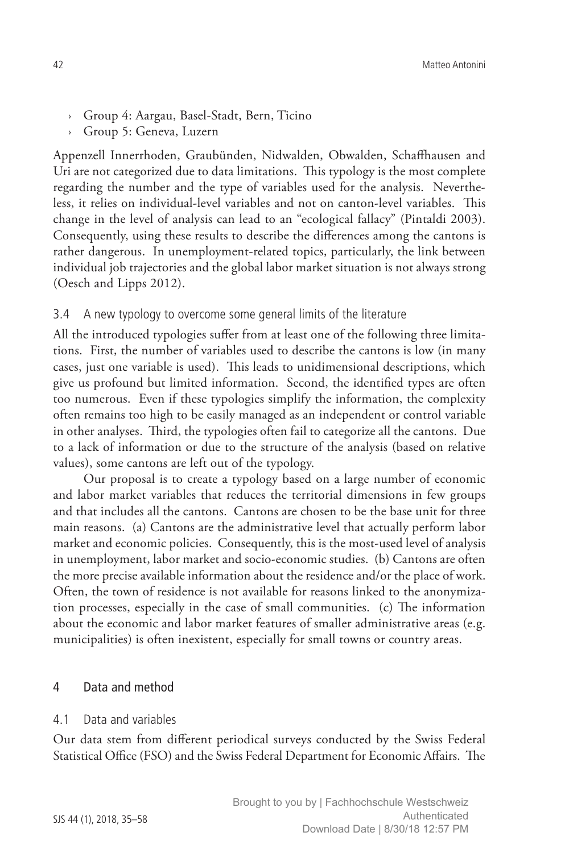- › Group 4: Aargau, Basel-Stadt, Bern, Ticino
- › Group 5: Geneva, Luzern

Appenzell Innerrhoden, Graubünden, Nidwalden, Obwalden, Schaffhausen and Uri are not categorized due to data limitations. This typology is the most complete regarding the number and the type of variables used for the analysis. Nevertheless, it relies on individual-level variables and not on canton-level variables. This change in the level of analysis can lead to an "ecological fallacy" (Pintaldi 2003). Consequently, using these results to describe the differences among the cantons is rather dangerous. In unemployment-related topics, particularly, the link between individual job trajectories and the global labor market situation is not always strong (Oesch and Lipps 2012).

#### 3.4 A new typology to overcome some general limits of the literature

All the introduced typologies suffer from at least one of the following three limitations. First, the number of variables used to describe the cantons is low (in many cases, just one variable is used). This leads to unidimensional descriptions, which give us profound but limited information. Second, the identified types are often too numerous. Even if these typologies simplify the information, the complexity often remains too high to be easily managed as an independent or control variable in other analyses. Third, the typologies often fail to categorize all the cantons. Due to a lack of information or due to the structure of the analysis (based on relative values), some cantons are left out of the typology.

Our proposal is to create a typology based on a large number of economic and labor market variables that reduces the territorial dimensions in few groups and that includes all the cantons. Cantons are chosen to be the base unit for three main reasons. (a) Cantons are the administrative level that actually perform labor market and economic policies. Consequently, this is the most-used level of analysis in unemployment, labor market and socio-economic studies. (b) Cantons are often the more precise available information about the residence and/or the place of work. Often, the town of residence is not available for reasons linked to the anonymization processes, especially in the case of small communities. (c) The information about the economic and labor market features of smaller administrative areas (e.g. municipalities) is often inexistent, especially for small towns or country areas.

#### 4 Data and method

#### 4.1 Data and variables

Our data stem from different periodical surveys conducted by the Swiss Federal Statistical Office (FSO) and the Swiss Federal Department for Economic Affairs. The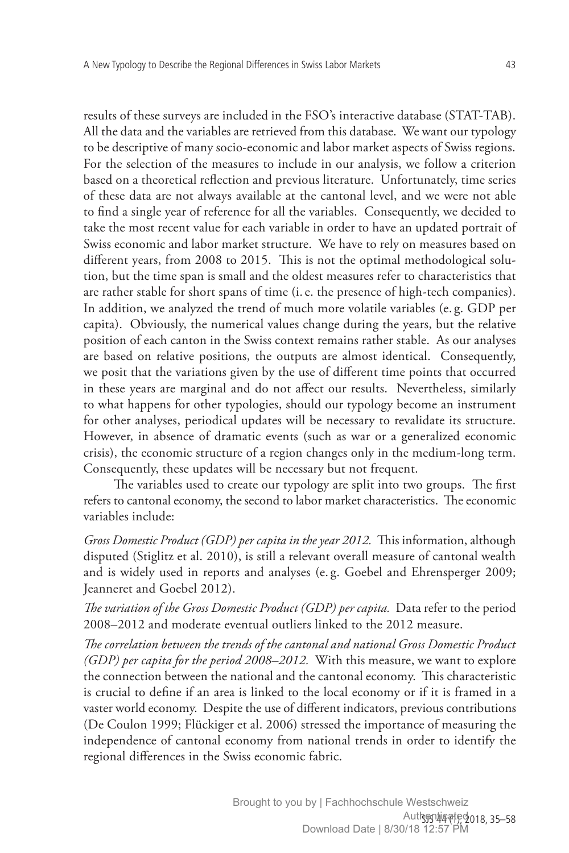results of these surveys are included in the FSO's interactive database (STAT-TAB). All the data and the variables are retrieved from this database. We want our typology to be descriptive of many socio-economic and labor market aspects of Swiss regions. For the selection of the measures to include in our analysis, we follow a criterion based on a theoretical reflection and previous literature. Unfortunately, time series of these data are not always available at the cantonal level, and we were not able to find a single year of reference for all the variables. Consequently, we decided to take the most recent value for each variable in order to have an updated portrait of Swiss economic and labor market structure. We have to rely on measures based on different years, from 2008 to 2015. This is not the optimal methodological solution, but the time span is small and the oldest measures refer to characteristics that are rather stable for short spans of time (i.e. the presence of high-tech companies). In addition, we analyzed the trend of much more volatile variables (e. g. GDP per capita). Obviously, the numerical values change during the years, but the relative position of each canton in the Swiss context remains rather stable. As our analyses are based on relative positions, the outputs are almost identical. Consequently, we posit that the variations given by the use of different time points that occurred in these years are marginal and do not affect our results. Nevertheless, similarly to what happens for other typologies, should our typology become an instrument for other analyses, periodical updates will be necessary to revalidate its structure. However, in absence of dramatic events (such as war or a generalized economic crisis), the economic structure of a region changes only in the medium-long term. Consequently, these updates will be necessary but not frequent.

The variables used to create our typology are split into two groups. The first refers to cantonal economy, the second to labor market characteristics. The economic variables include:

*Gross Domestic Product (GDP) per capita in the year 2012.* This information, although disputed (Stiglitz et al. 2010), is still a relevant overall measure of cantonal wealth and is widely used in reports and analyses (e. g. Goebel and Ehrensperger 2009; Jeanneret and Goebel 2012).

*The variation of the Gross Domestic Product (GDP) per capita.* Data refer to the period 2008–2012 and moderate eventual outliers linked to the 2012 measure.

*The correlation between the trends of the cantonal and national Gross Domestic Product (GDP) per capita for the period 2008–2012.* With this measure, we want to explore the connection between the national and the cantonal economy. This characteristic is crucial to define if an area is linked to the local economy or if it is framed in a vaster world economy. Despite the use of different indicators, previous contributions (De Coulon 1999; Flückiger et al. 2006) stressed the importance of measuring the independence of cantonal economy from national trends in order to identify the regional differences in the Swiss economic fabric.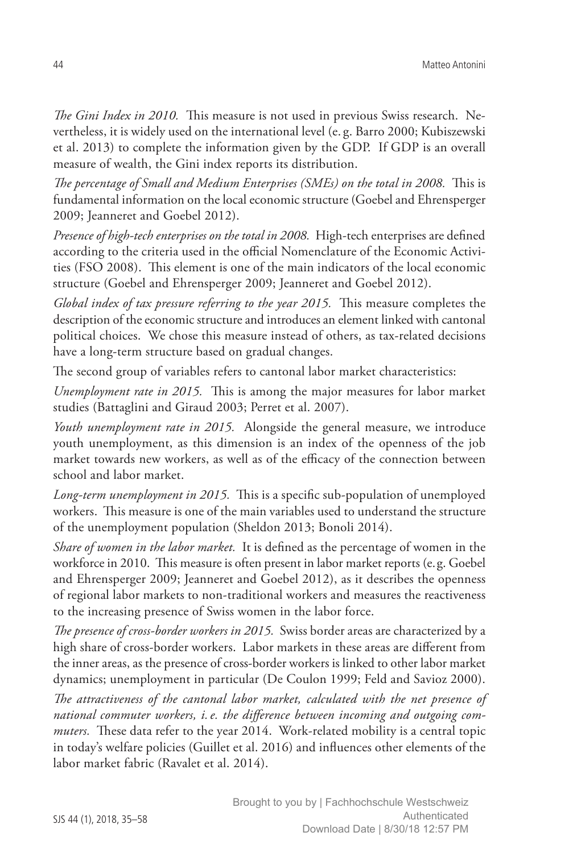*The Gini Index in 2010.* This measure is not used in previous Swiss research. Nevertheless, it is widely used on the international level (e. g. Barro 2000; Kubiszewski et al. 2013) to complete the information given by the GDP. If GDP is an overall measure of wealth, the Gini index reports its distribution.

*The percentage of Small and Medium Enterprises (SMEs) on the total in 2008.* This is fundamental information on the local economic structure (Goebel and Ehrensperger 2009; Jeanneret and Goebel 2012).

*Presence of high-tech enterprises on the total in 2008.* High-tech enterprises are defined according to the criteria used in the official Nomenclature of the Economic Activities (FSO 2008). This element is one of the main indicators of the local economic structure (Goebel and Ehrensperger 2009; Jeanneret and Goebel 2012).

*Global index of tax pressure referring to the year 2015.* This measure completes the description of the economic structure and introduces an element linked with cantonal political choices. We chose this measure instead of others, as tax-related decisions have a long-term structure based on gradual changes.

The second group of variables refers to cantonal labor market characteristics:

*Unemployment rate in 2015.* This is among the major measures for labor market studies (Battaglini and Giraud 2003; Perret et al. 2007).

*Youth unemployment rate in 2015.* Alongside the general measure, we introduce youth unemployment, as this dimension is an index of the openness of the job market towards new workers, as well as of the efficacy of the connection between school and labor market.

*Long-term unemployment in 2015.* This is a specific sub-population of unemployed workers. This measure is one of the main variables used to understand the structure of the unemployment population (Sheldon 2013; Bonoli 2014).

*Share of women in the labor market.* It is defined as the percentage of women in the workforce in 2010. This measure is often present in labor market reports (e.g. Goebel and Ehrensperger 2009; Jeanneret and Goebel 2012), as it describes the openness of regional labor markets to non-traditional workers and measures the reactiveness to the increasing presence of Swiss women in the labor force.

*The presence of cross-border workers in 2015.* Swiss border areas are characterized by a high share of cross-border workers. Labor markets in these areas are different from the inner areas, as the presence of cross-border workers is linked to other labor market dynamics; unemployment in particular (De Coulon 1999; Feld and Savioz 2000).

*The attractiveness of the cantonal labor market, calculated with the net presence of national commuter workers, i.e. the difference between incoming and outgoing commuters.* These data refer to the year 2014. Work-related mobility is a central topic in today's welfare policies (Guillet et al. 2016) and influences other elements of the labor market fabric (Ravalet et al. 2014).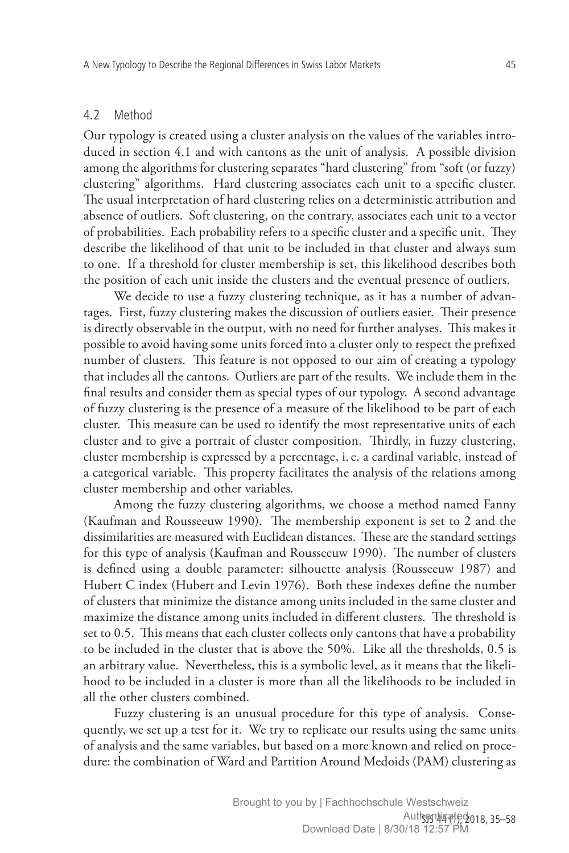#### 4.2 Method

Our typology is created using a cluster analysis on the values of the variables introduced in section 4.1 and with cantons as the unit of analysis. A possible division among the algorithms for clustering separates "hard clustering" from "soft (or fuzzy) clustering" algorithms. Hard clustering associates each unit to a specific cluster. The usual interpretation of hard clustering relies on a deterministic attribution and absence of outliers. Soft clustering, on the contrary, associates each unit to a vector of probabilities. Each probability refers to a specific cluster and a specific unit. They describe the likelihood of that unit to be included in that cluster and always sum to one. If a threshold for cluster membership is set, this likelihood describes both the position of each unit inside the clusters and the eventual presence of outliers.

We decide to use a fuzzy clustering technique, as it has a number of advantages. First, fuzzy clustering makes the discussion of outliers easier. Their presence is directly observable in the output, with no need for further analyses. This makes it possible to avoid having some units forced into a cluster only to respect the prefixed number of clusters. This feature is not opposed to our aim of creating a typology that includes all the cantons. Outliers are part of the results. We include them in the final results and consider them as special types of our typology. A second advantage of fuzzy clustering is the presence of a measure of the likelihood to be part of each cluster. This measure can be used to identify the most representative units of each cluster and to give a portrait of cluster composition. Thirdly, in fuzzy clustering, cluster membership is expressed by a percentage, i.e. a cardinal variable, instead of a categorical variable. This property facilitates the analysis of the relations among cluster membership and other variables.

Among the fuzzy clustering algorithms, we choose a method named Fanny (Kaufman and Rousseeuw 1990). The membership exponent is set to 2 and the dissimilarities are measured with Euclidean distances. These are the standard settings for this type of analysis (Kaufman and Rousseeuw 1990). The number of clusters is defined using a double parameter: silhouette analysis (Rousseeuw 1987) and Hubert C index (Hubert and Levin 1976). Both these indexes define the number of clusters that minimize the distance among units included in the same cluster and maximize the distance among units included in different clusters. The threshold is set to 0.5. This means that each cluster collects only cantons that have a probability to be included in the cluster that is above the 50%. Like all the thresholds, 0.5 is an arbitrary value. Nevertheless, this is a symbolic level, as it means that the likelihood to be included in a cluster is more than all the likelihoods to be included in all the other clusters combined.

Fuzzy clustering is an unusual procedure for this type of analysis. Consequently, we set up a test for it. We try to replicate our results using the same units of analysis and the same variables, but based on a more known and relied on procedure: the combination of Ward and Partition Around Medoids (PAM) clustering as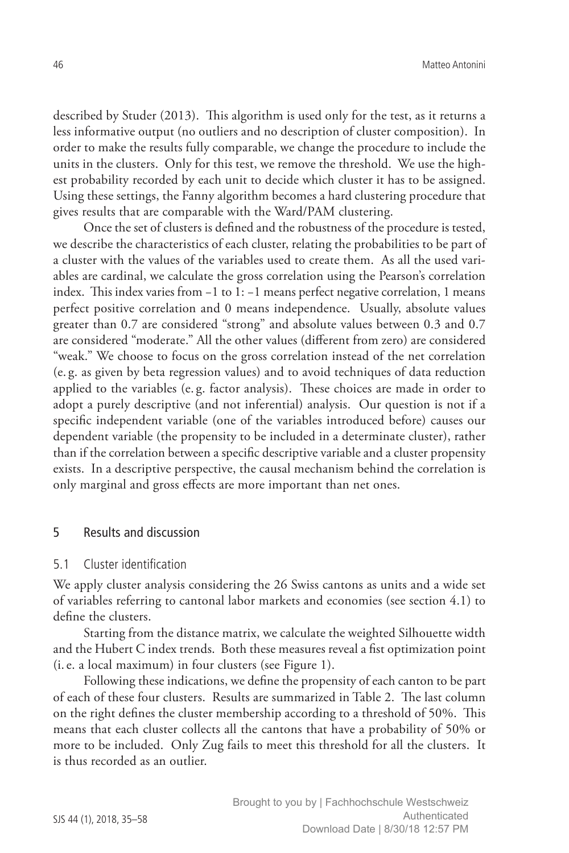described by Studer (2013). This algorithm is used only for the test, as it returns a less informative output (no outliers and no description of cluster composition). In order to make the results fully comparable, we change the procedure to include the units in the clusters. Only for this test, we remove the threshold. We use the highest probability recorded by each unit to decide which cluster it has to be assigned. Using these settings, the Fanny algorithm becomes a hard clustering procedure that gives results that are comparable with the Ward/PAM clustering.

Once the set of clusters is defined and the robustness of the procedure is tested, we describe the characteristics of each cluster, relating the probabilities to be part of a cluster with the values of the variables used to create them. As all the used variables are cardinal, we calculate the gross correlation using the Pearson's correlation index. This index varies from −1 to 1: −1 means perfect negative correlation, 1 means perfect positive correlation and 0 means independence. Usually, absolute values greater than 0.7 are considered "strong" and absolute values between 0.3 and 0.7 are considered "moderate." All the other values (different from zero) are considered "weak." We choose to focus on the gross correlation instead of the net correlation (e. g. as given by beta regression values) and to avoid techniques of data reduction applied to the variables (e. g. factor analysis). These choices are made in order to adopt a purely descriptive (and not inferential) analysis. Our question is not if a specific independent variable (one of the variables introduced before) causes our dependent variable (the propensity to be included in a determinate cluster), rather than if the correlation between a specific descriptive variable and a cluster propensity exists. In a descriptive perspective, the causal mechanism behind the correlation is only marginal and gross effects are more important than net ones.

#### 5 Results and discussion

#### 5.1 Cluster identification

We apply cluster analysis considering the 26 Swiss cantons as units and a wide set of variables referring to cantonal labor markets and economies (see section 4.1) to define the clusters.

Starting from the distance matrix, we calculate the weighted Silhouette width and the Hubert C index trends. Both these measures reveal a fist optimization point (i.e. a local maximum) in four clusters (see Figure 1).

Following these indications, we define the propensity of each canton to be part of each of these four clusters. Results are summarized in Table 2. The last column on the right defines the cluster membership according to a threshold of 50%. This means that each cluster collects all the cantons that have a probability of 50% or more to be included. Only Zug fails to meet this threshold for all the clusters. It is thus recorded as an outlier.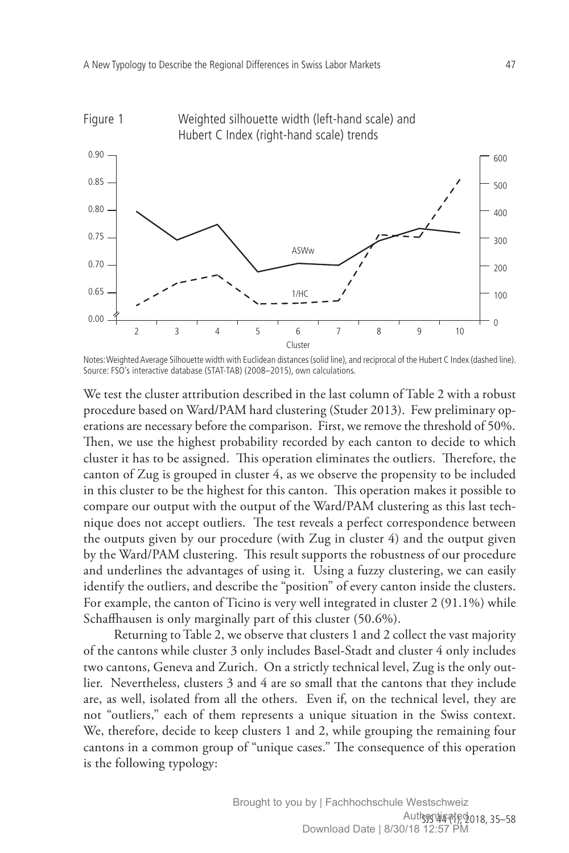

Notes: Weighted Average Silhouette width with Euclidean distances (solid line), and reciprocal of the Hubert C Index (dashed line). Source: FSO's interactive database (STAT-TAB) (2008–2015), own calculations.

We test the cluster attribution described in the last column of Table 2 with a robust procedure based on Ward/PAM hard clustering (Studer 2013). Few preliminary operations are necessary before the comparison. First, we remove the threshold of 50%. Then, we use the highest probability recorded by each canton to decide to which cluster it has to be assigned. This operation eliminates the outliers. Therefore, the canton of Zug is grouped in cluster 4, as we observe the propensity to be included in this cluster to be the highest for this canton. This operation makes it possible to compare our output with the output of the Ward/PAM clustering as this last technique does not accept outliers. The test reveals a perfect correspondence between the outputs given by our procedure (with Zug in cluster 4) and the output given by the Ward/PAM clustering. This result supports the robustness of our procedure and underlines the advantages of using it. Using a fuzzy clustering, we can easily identify the outliers, and describe the "position" of every canton inside the clusters. For example, the canton of Ticino is very well integrated in cluster 2 (91.1%) while Schaffhausen is only marginally part of this cluster (50.6%).

Returning to Table 2, we observe that clusters 1 and 2 collect the vast majority of the cantons while cluster 3 only includes Basel-Stadt and cluster 4 only includes two cantons, Geneva and Zurich. On a strictly technical level, Zug is the only outlier. Nevertheless, clusters 3 and 4 are so small that the cantons that they include are, as well, isolated from all the others. Even if, on the technical level, they are not "outliers," each of them represents a unique situation in the Swiss context. We, therefore, decide to keep clusters 1 and 2, while grouping the remaining four cantons in a common group of "unique cases." The consequence of this operation is the following typology: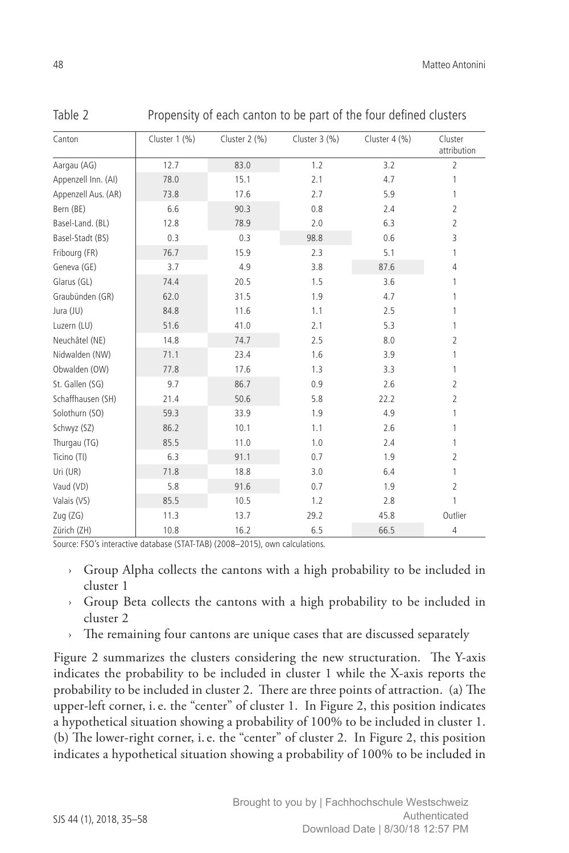| ٦<br>٠           |
|------------------|
|                  |
|                  |
|                  |
| ×<br>I<br>$\sim$ |

Table 2 Propensity of each canton to be part of the four defined clusters

| Canton              | Cluster 1 (%) | Cluster 2 (%) | Cluster $3$ (%) | Cluster $4$ (%) | Cluster<br>attribution |
|---------------------|---------------|---------------|-----------------|-----------------|------------------------|
| Aargau (AG)         | 12.7          | 83.0          | 1.2             | 3.2             | $\overline{2}$         |
| Appenzell Inn. (AI) | 78.0          | 15.1          | 2.1             | 4.7             | 1                      |
| Appenzell Aus. (AR) | 73.8          | 17.6          | 2.7             | 5.9             | 1                      |
| Bern (BE)           | 6.6           | 90.3          | 0.8             | 2.4             | $\overline{2}$         |
| Basel-Land. (BL)    | 12.8          | 78.9          | 2.0             | 6.3             | $\overline{2}$         |
| Basel-Stadt (BS)    | 0.3           | 0.3           | 98.8            | 0.6             | 3                      |
| Fribourg (FR)       | 76.7          | 15.9          | 2.3             | 5.1             | 1                      |
| Geneva (GE)         | 3.7           | 4.9           | 3.8             | 87.6            | $\overline{4}$         |
| Glarus (GL)         | 74.4          | 20.5          | 1.5             | 3.6             | 1                      |
| Graubünden (GR)     | 62.0          | 31.5          | 1.9             | 4.7             | 1                      |
| Jura (JU)           | 84.8          | 11.6          | 1.1             | 2.5             | 1                      |
| Luzern (LU)         | 51.6          | 41.0          | 2.1             | 5.3             | 1                      |
| Neuchâtel (NE)      | 14.8          | 74.7          | 2.5             | 8.0             | 2                      |
| Nidwalden (NW)      | 71.1          | 23.4          | 1.6             | 3.9             | 1                      |
| Obwalden (OW)       | 77.8          | 17.6          | 1.3             | 3.3             | 1                      |
| St. Gallen (SG)     | 9.7           | 86.7          | 0.9             | 2.6             | $\overline{2}$         |
| Schaffhausen (SH)   | 21.4          | 50.6          | 5.8             | 22.2            | $\overline{2}$         |
| Solothurn (SO)      | 59.3          | 33.9          | 1.9             | 4.9             | 1                      |
| Schwyz (SZ)         | 86.2          | 10.1          | 1.1             | 2.6             | 1                      |
| Thurgau (TG)        | 85.5          | 11.0          | 1.0             | 2.4             | 1                      |
| Ticino (TI)         | 6.3           | 91.1          | 0.7             | 1.9             | $\overline{2}$         |
| Uri (UR)            | 71.8          | 18.8          | 3.0             | 6.4             | 1                      |
| Vaud (VD)           | 5.8           | 91.6          | 0.7             | 1.9             | $\overline{2}$         |
| Valais (VS)         | 85.5          | 10.5          | 1.2             | 2.8             | 1                      |
| Zug (ZG)            | 11.3          | 13.7          | 29.2            | 45.8            | Outlier                |
| Zürich (ZH)         | 10.8          | 16.2          | 6.5             | 66.5            | 4                      |

Source: FSO's interactive database (STAT-TAB) (2008–2015), own calculations.

- › Group Alpha collects the cantons with a high probability to be included in cluster 1
- › Group Beta collects the cantons with a high probability to be included in cluster 2
- The remaining four cantons are unique cases that are discussed separately

Figure 2 summarizes the clusters considering the new structuration. The Y-axis indicates the probability to be included in cluster 1 while the X-axis reports the probability to be included in cluster 2. There are three points of attraction. (a) The upper-left corner, i.e. the "center" of cluster 1. In Figure 2, this position indicates a hypothetical situation showing a probability of 100% to be included in cluster 1. (b) The lower-right corner, i.e. the "center" of cluster 2. In Figure 2, this position indicates a hypothetical situation showing a probability of 100% to be included in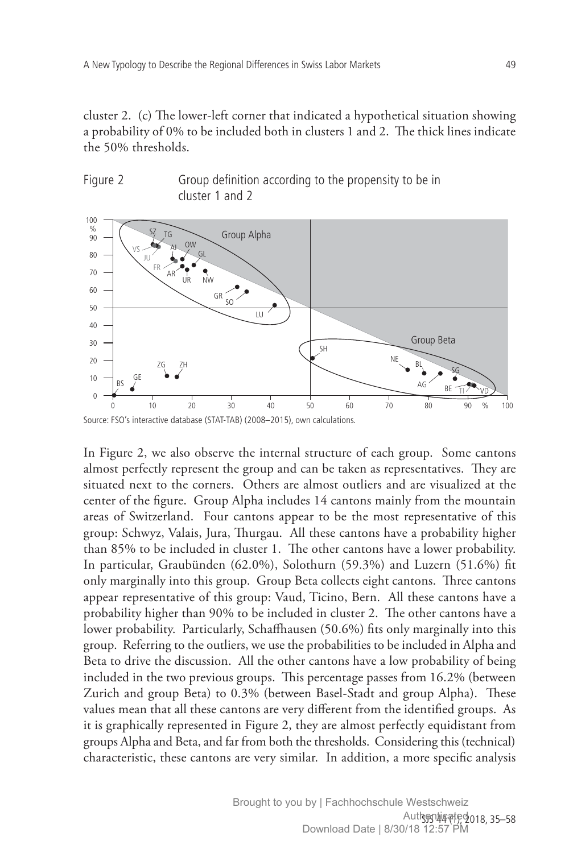cluster 2. (c) The lower-left corner that indicated a hypothetical situation showing a probability of  $0\%$  to be included both in clusters 1 and 2. The thick lines indicate the 50% thresholds.



Figure 2 Group definition according to the propensity to be in cluster 1 and 2

In Figure 2, we also observe the internal structure of each group. Some cantons almost perfectly represent the group and can be taken as representatives. They are situated next to the corners. Others are almost outliers and are visualized at the center of the figure. Group Alpha includes 14 cantons mainly from the mountain areas of Switzerland. Four cantons appear to be the most representative of this group: Schwyz, Valais, Jura, Thurgau. All these cantons have a probability higher than 85% to be included in cluster 1. The other cantons have a lower probability. In particular, Graubünden (62.0%), Solothurn (59.3%) and Luzern (51.6%) fit only marginally into this group. Group Beta collects eight cantons. Three cantons appear representative of this group: Vaud, Ticino, Bern. All these cantons have a probability higher than 90% to be included in cluster 2. The other cantons have a lower probability. Particularly, Schaffhausen (50.6%) fits only marginally into this group. Referring to the outliers, we use the probabilities to be included in Alpha and Beta to drive the discussion. All the other cantons have a low probability of being included in the two previous groups. This percentage passes from  $16.2\%$  (between Zurich and group Beta) to 0.3% (between Basel-Stadt and group Alpha). These values mean that all these cantons are very different from the identified groups. As it is graphically represented in Figure 2, they are almost perfectly equidistant from groups Alpha and Beta, and far from both the thresholds. Considering this (technical) characteristic, these cantons are very similar. In addition, a more specific analysis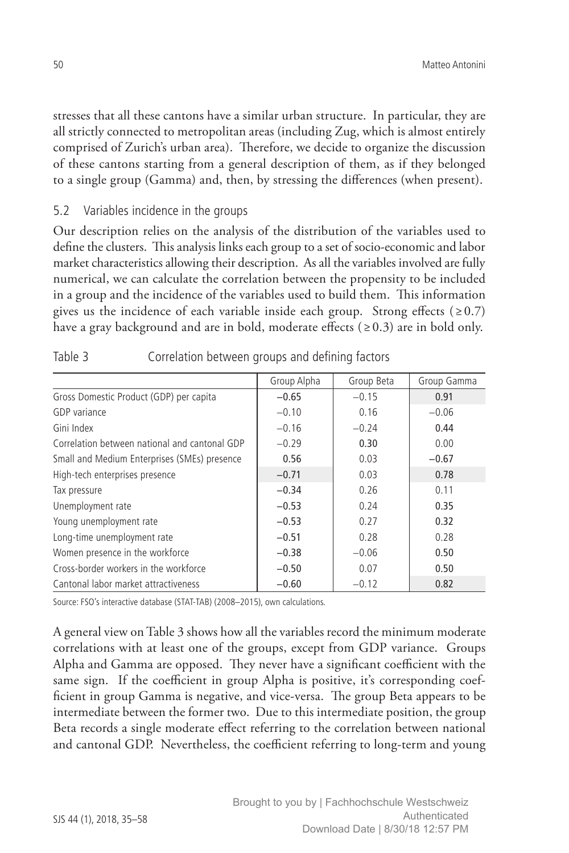stresses that all these cantons have a similar urban structure. In particular, they are all strictly connected to metropolitan areas (including Zug, which is almost entirely comprised of Zurich's urban area). Therefore, we decide to organize the discussion of these cantons starting from a general description of them, as if they belonged to a single group (Gamma) and, then, by stressing the differences (when present).

### 5.2 Variables incidence in the groups

Our description relies on the analysis of the distribution of the variables used to define the clusters. This analysis links each group to a set of socio-economic and labor market characteristics allowing their description. As all the variables involved are fully numerical, we can calculate the correlation between the propensity to be included in a group and the incidence of the variables used to build them. This information gives us the incidence of each variable inside each group. Strong effects ( $\geq 0.7$ ) have a gray background and are in bold, moderate effects ( $\geq 0.3$ ) are in bold only.

|                                               | Group Alpha | Group Beta | Group Gamma |
|-----------------------------------------------|-------------|------------|-------------|
| Gross Domestic Product (GDP) per capita       | $-0.65$     | $-0.15$    | 0.91        |
| <b>GDP</b> variance                           | $-0.10$     | 0.16       | $-0.06$     |
| Gini Index                                    | $-0.16$     | $-0.24$    | 0.44        |
| Correlation between national and cantonal GDP | $-0.29$     | 0.30       | 0.00        |
| Small and Medium Enterprises (SMEs) presence  | 0.56        | 0.03       | $-0.67$     |
| High-tech enterprises presence                | $-0.71$     | 0.03       | 0.78        |
| Tax pressure                                  | $-0.34$     | 0.26       | 0.11        |
| Unemployment rate                             | $-0.53$     | 0.24       | 0.35        |
| Young unemployment rate                       | $-0.53$     | 0.27       | 0.32        |
| Long-time unemployment rate                   | $-0.51$     | 0.28       | 0.28        |
| Women presence in the workforce               | $-0.38$     | $-0.06$    | 0.50        |
| Cross-border workers in the workforce         | $-0.50$     | 0.07       | 0.50        |
| Cantonal labor market attractiveness          | $-0.60$     | $-0.12$    | 0.82        |

| Table 3 | Correlation between groups and defining factors |  |  |  |
|---------|-------------------------------------------------|--|--|--|
|         |                                                 |  |  |  |

Source: FSO's interactive database (STAT-TAB) (2008–2015), own calculations.

A general view on Table 3 shows how all the variables record the minimum moderate correlations with at least one of the groups, except from GDP variance. Groups Alpha and Gamma are opposed. They never have a significant coefficient with the same sign. If the coefficient in group Alpha is positive, it's corresponding coefficient in group Gamma is negative, and vice-versa. The group Beta appears to be intermediate between the former two. Due to this intermediate position, the group Beta records a single moderate effect referring to the correlation between national and cantonal GDP. Nevertheless, the coefficient referring to long-term and young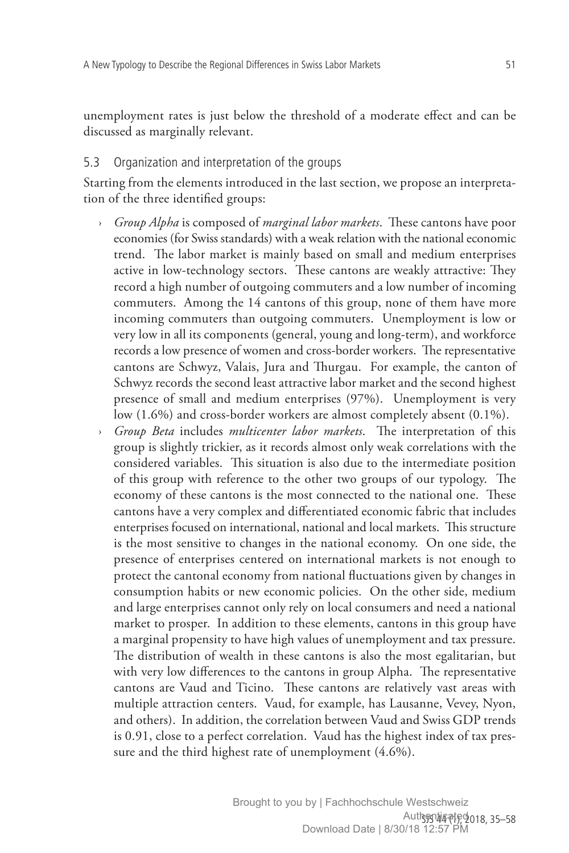unemployment rates is just below the threshold of a moderate effect and can be discussed as marginally relevant.

## 5.3 Organization and interpretation of the groups

Starting from the elements introduced in the last section, we propose an interpretation of the three identified groups:

- › *Group Alpha* is composed of *marginal labor markets*. These cantons have poor economies (for Swiss standards) with a weak relation with the national economic trend. The labor market is mainly based on small and medium enterprises active in low-technology sectors. These cantons are weakly attractive: They record a high number of outgoing commuters and a low number of incoming commuters. Among the 14 cantons of this group, none of them have more incoming commuters than outgoing commuters. Unemployment is low or very low in all its components (general, young and long-term), and workforce records a low presence of women and cross-border workers. The representative cantons are Schwyz, Valais, Jura and Thurgau. For example, the canton of Schwyz records the second least attractive labor market and the second highest presence of small and medium enterprises (97%). Unemployment is very low (1.6%) and cross-border workers are almost completely absent (0.1%).
- *Group Beta* includes *multicenter labor markets*. The interpretation of this group is slightly trickier, as it records almost only weak correlations with the considered variables. This situation is also due to the intermediate position of this group with reference to the other two groups of our typology. The economy of these cantons is the most connected to the national one. These cantons have a very complex and differentiated economic fabric that includes enterprises focused on international, national and local markets. This structure is the most sensitive to changes in the national economy. On one side, the presence of enterprises centered on international markets is not enough to protect the cantonal economy from national fluctuations given by changes in consumption habits or new economic policies. On the other side, medium and large enterprises cannot only rely on local consumers and need a national market to prosper. In addition to these elements, cantons in this group have a marginal propensity to have high values of unemployment and tax pressure. The distribution of wealth in these cantons is also the most egalitarian, but with very low differences to the cantons in group Alpha. The representative cantons are Vaud and Ticino. These cantons are relatively vast areas with multiple attraction centers. Vaud, for example, has Lausanne, Vevey, Nyon, and others). In addition, the correlation between Vaud and Swiss GDP trends is 0.91, close to a perfect correlation. Vaud has the highest index of tax pressure and the third highest rate of unemployment (4.6%).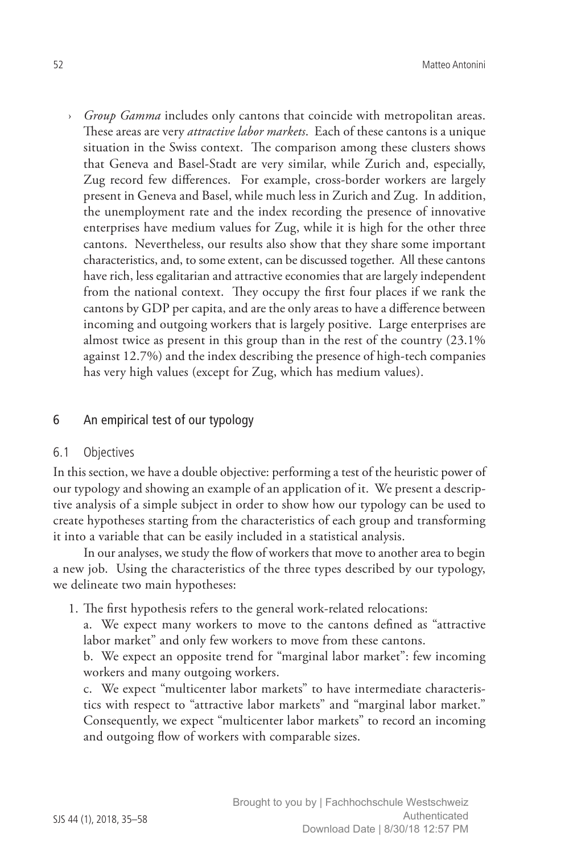› *Group Gamma* includes only cantons that coincide with metropolitan areas. These areas are very *attractive labor markets*. Each of these cantons is a unique situation in the Swiss context. The comparison among these clusters shows that Geneva and Basel-Stadt are very similar, while Zurich and, especially, Zug record few differences. For example, cross-border workers are largely present in Geneva and Basel, while much less in Zurich and Zug. In addition, the unemployment rate and the index recording the presence of innovative enterprises have medium values for Zug, while it is high for the other three cantons. Nevertheless, our results also show that they share some important characteristics, and, to some extent, can be discussed together. All these cantons have rich, less egalitarian and attractive economies that are largely independent from the national context. They occupy the first four places if we rank the cantons by GDP per capita, and are the only areas to have a difference between incoming and outgoing workers that is largely positive. Large enterprises are almost twice as present in this group than in the rest of the country (23.1% against 12.7%) and the index describing the presence of high-tech companies has very high values (except for Zug, which has medium values).

#### 6 An empirical test of our typology

#### 6.1 Objectives

In this section, we have a double objective: performing a test of the heuristic power of our typology and showing an example of an application of it. We present a descriptive analysis of a simple subject in order to show how our typology can be used to create hypotheses starting from the characteristics of each group and transforming it into a variable that can be easily included in a statistical analysis.

In our analyses, we study the flow of workers that move to another area to begin a new job. Using the characteristics of the three types described by our typology, we delineate two main hypotheses:

1. The first hypothesis refers to the general work-related relocations:

a. We expect many workers to move to the cantons defined as "attractive labor market" and only few workers to move from these cantons.

b. We expect an opposite trend for "marginal labor market": few incoming workers and many outgoing workers.

c. We expect "multicenter labor markets" to have intermediate characteristics with respect to "attractive labor markets" and "marginal labor market." Consequently, we expect "multicenter labor markets" to record an incoming and outgoing flow of workers with comparable sizes.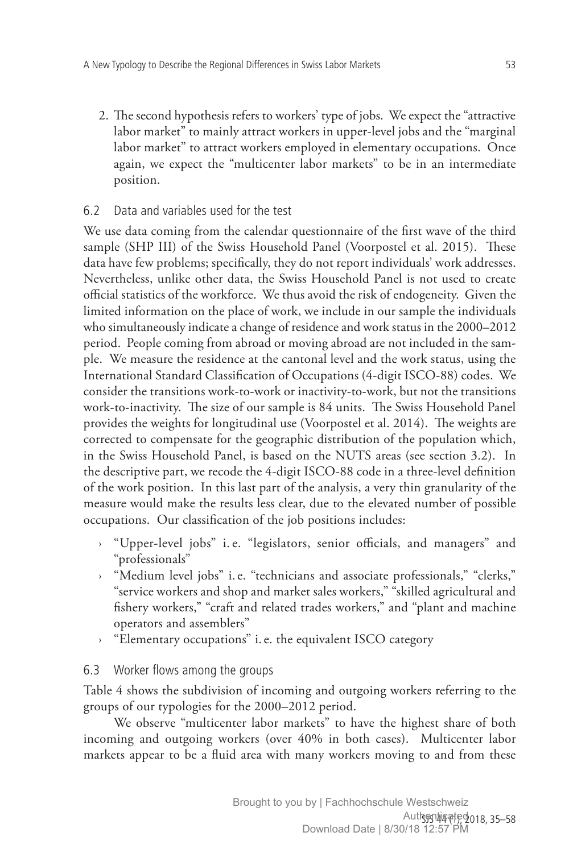2. The second hypothesis refers to workers' type of jobs. We expect the "attractive labor market" to mainly attract workers in upper-level jobs and the "marginal labor market" to attract workers employed in elementary occupations. Once again, we expect the "multicenter labor markets" to be in an intermediate position.

# 6.2 Data and variables used for the test

We use data coming from the calendar questionnaire of the first wave of the third sample (SHP III) of the Swiss Household Panel (Voorpostel et al. 2015). These data have few problems; specifically, they do not report individuals' work addresses. Nevertheless, unlike other data, the Swiss Household Panel is not used to create official statistics of the workforce. We thus avoid the risk of endogeneity. Given the limited information on the place of work, we include in our sample the individuals who simultaneously indicate a change of residence and work status in the 2000–2012 period. People coming from abroad or moving abroad are not included in the sample. We measure the residence at the cantonal level and the work status, using the International Standard Classification of Occupations (4-digit ISCO-88) codes. We consider the transitions work-to-work or inactivity-to-work, but not the transitions work-to-inactivity. The size of our sample is 84 units. The Swiss Household Panel provides the weights for longitudinal use (Voorpostel et al. 2014). The weights are corrected to compensate for the geographic distribution of the population which, in the Swiss Household Panel, is based on the NUTS areas (see section 3.2). In the descriptive part, we recode the 4-digit ISCO-88 code in a three-level definition of the work position. In this last part of the analysis, a very thin granularity of the measure would make the results less clear, due to the elevated number of possible occupations. Our classification of the job positions includes:

- › "Upper-level jobs" i.e. "legislators, senior officials, and managers" and "professionals"
- › "Medium level jobs" i.e. "technicians and associate professionals," "clerks," "service workers and shop and market sales workers," "skilled agricultural and fishery workers," "craft and related trades workers," and "plant and machine operators and assemblers"
- › "Elementary occupations" i.e. the equivalent ISCO category

# 6.3 Worker flows among the groups

Table 4 shows the subdivision of incoming and outgoing workers referring to the groups of our typologies for the 2000–2012 period.

We observe "multicenter labor markets" to have the highest share of both incoming and outgoing workers (over 40% in both cases). Multicenter labor markets appear to be a fluid area with many workers moving to and from these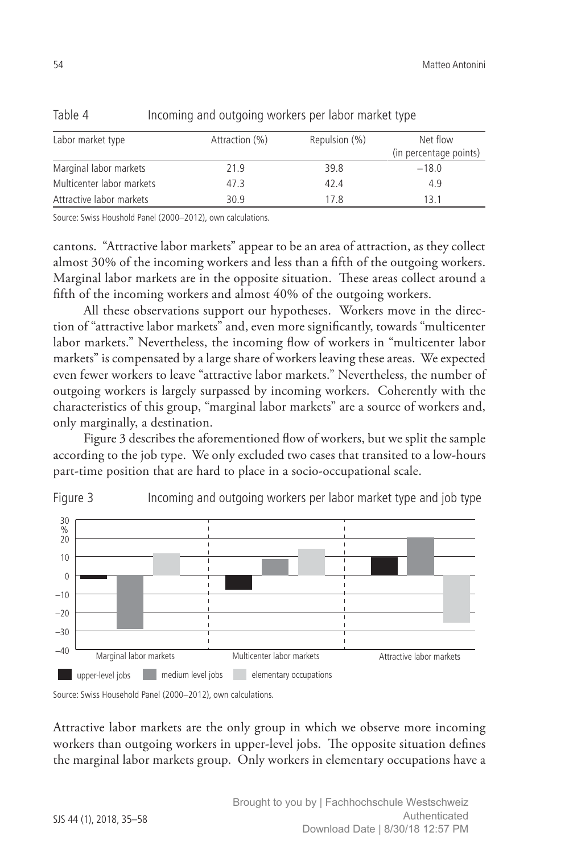| Labor market type         | Attraction (%) | Repulsion (%) | Net flow               |
|---------------------------|----------------|---------------|------------------------|
|                           |                |               | (in percentage points) |
| Marginal labor markets    | 21.9           | 39.8          | $-18.0$                |
| Multicenter labor markets | 47.3           | 42.4          | 4.9                    |
| Attractive labor markets  | 30.9           | 17.8          | 131                    |

Table 4 Incoming and outgoing workers per labor market type

Source: Swiss Houshold Panel (2000–2012), own calculations.

cantons. "Attractive labor markets" appear to be an area of attraction, as they collect almost 30% of the incoming workers and less than a fifth of the outgoing workers. Marginal labor markets are in the opposite situation. These areas collect around a fifth of the incoming workers and almost 40% of the outgoing workers.

All these observations support our hypotheses. Workers move in the direction of "attractive labor markets" and, even more significantly, towards "multicenter labor markets." Nevertheless, the incoming flow of workers in "multicenter labor markets" is compensated by a large share of workers leaving these areas. We expected even fewer workers to leave "attractive labor markets." Nevertheless, the number of outgoing workers is largely surpassed by incoming workers. Coherently with the characteristics of this group, "marginal labor markets" are a source of workers and, only marginally, a destination.

Figure 3 describes the aforementioned flow of workers, but we split the sample according to the job type. We only excluded two cases that transited to a low-hours part-time position that are hard to place in a socio-occupational scale.





Source: Swiss Household Panel (2000–2012), own calculations.

Attractive labor markets are the only group in which we observe more incoming workers than outgoing workers in upper-level jobs. The opposite situation defines the marginal labor markets group. Only workers in elementary occupations have a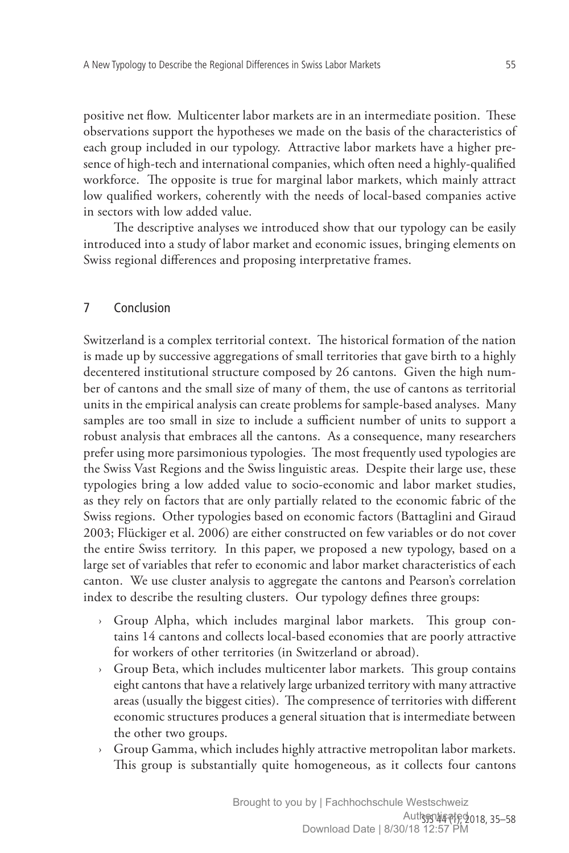positive net flow. Multicenter labor markets are in an intermediate position. These observations support the hypotheses we made on the basis of the characteristics of each group included in our typology. Attractive labor markets have a higher presence of high-tech and international companies, which often need a highly-qualified workforce. The opposite is true for marginal labor markets, which mainly attract low qualified workers, coherently with the needs of local-based companies active in sectors with low added value.

The descriptive analyses we introduced show that our typology can be easily introduced into a study of labor market and economic issues, bringing elements on Swiss regional differences and proposing interpretative frames.

### 7 Conclusion

Switzerland is a complex territorial context. The historical formation of the nation is made up by successive aggregations of small territories that gave birth to a highly decentered institutional structure composed by 26 cantons. Given the high number of cantons and the small size of many of them, the use of cantons as territorial units in the empirical analysis can create problems for sample-based analyses. Many samples are too small in size to include a sufficient number of units to support a robust analysis that embraces all the cantons. As a consequence, many researchers prefer using more parsimonious typologies. The most frequently used typologies are the Swiss Vast Regions and the Swiss linguistic areas. Despite their large use, these typologies bring a low added value to socio-economic and labor market studies, as they rely on factors that are only partially related to the economic fabric of the Swiss regions. Other typologies based on economic factors (Battaglini and Giraud 2003; Flückiger et al. 2006) are either constructed on few variables or do not cover the entire Swiss territory. In this paper, we proposed a new typology, based on a large set of variables that refer to economic and labor market characteristics of each canton. We use cluster analysis to aggregate the cantons and Pearson's correlation index to describe the resulting clusters. Our typology defines three groups:

- › Group Alpha, which includes marginal labor markets. This group contains 14 cantons and collects local-based economies that are poorly attractive for workers of other territories (in Switzerland or abroad).
- › Group Beta, which includes multicenter labor markets. This group contains eight cantons that have a relatively large urbanized territory with many attractive areas (usually the biggest cities). The compresence of territories with different economic structures produces a general situation that is intermediate between the other two groups.
- Group Gamma, which includes highly attractive metropolitan labor markets. This group is substantially quite homogeneous, as it collects four cantons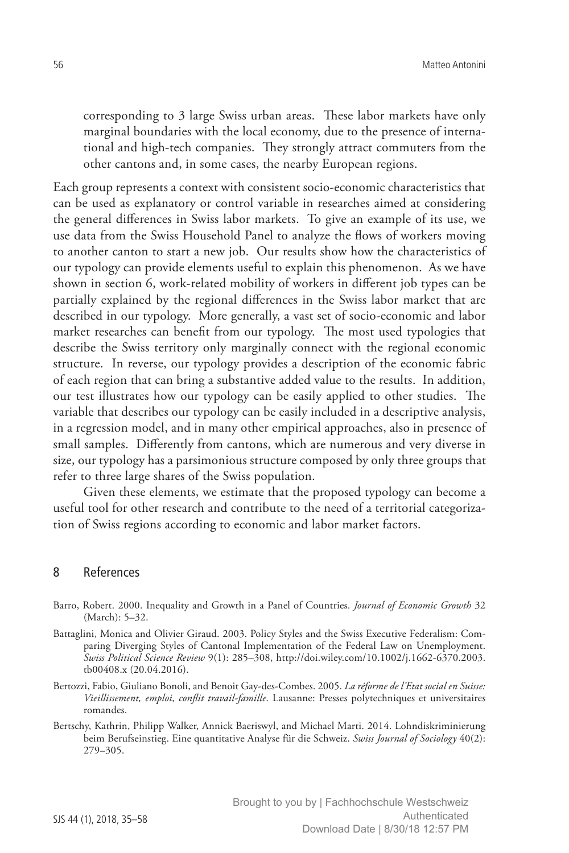corresponding to 3 large Swiss urban areas. These labor markets have only marginal boundaries with the local economy, due to the presence of international and high-tech companies. They strongly attract commuters from the other cantons and, in some cases, the nearby European regions.

Each group represents a context with consistent socio-economic characteristics that can be used as explanatory or control variable in researches aimed at considering the general differences in Swiss labor markets. To give an example of its use, we use data from the Swiss Household Panel to analyze the flows of workers moving to another canton to start a new job. Our results show how the characteristics of our typology can provide elements useful to explain this phenomenon. As we have shown in section 6, work-related mobility of workers in different job types can be partially explained by the regional differences in the Swiss labor market that are described in our typology. More generally, a vast set of socio-economic and labor market researches can benefit from our typology. The most used typologies that describe the Swiss territory only marginally connect with the regional economic structure. In reverse, our typology provides a description of the economic fabric of each region that can bring a substantive added value to the results. In addition, our test illustrates how our typology can be easily applied to other studies. The variable that describes our typology can be easily included in a descriptive analysis, in a regression model, and in many other empirical approaches, also in presence of small samples. Differently from cantons, which are numerous and very diverse in size, our typology has a parsimonious structure composed by only three groups that refer to three large shares of the Swiss population.

Given these elements, we estimate that the proposed typology can become a useful tool for other research and contribute to the need of a territorial categorization of Swiss regions according to economic and labor market factors.

#### 8 References

- Barro, Robert. 2000. Inequality and Growth in a Panel of Countries. *Journal of Economic Growth* 32 (March): 5–32.
- Battaglini, Monica and Olivier Giraud. 2003. Policy Styles and the Swiss Executive Federalism: Comparing Diverging Styles of Cantonal Implementation of the Federal Law on Unemployment. *Swiss Political Science Review* 9(1): 285–308, [http://doi.wiley.com/10.1002/j.1662-6370.2003.](http://doi.wiley.com/10.1002/j.1662-6370.2003.tb00408) [tb00408](http://doi.wiley.com/10.1002/j.1662-6370.2003.tb00408).x (20.04.2016).
- Bertozzi, Fabio, Giuliano Bonoli, and Benoit Gay-des-Combes. 2005. *La réforme de l'Etat social en Suisse: Vieillissement, emploi, conflit travail-famille*. Lausanne: Presses polytechniques et universitaires romandes.
- Bertschy, Kathrin, Philipp Walker, Annick Baeriswyl, and Michael Marti. 2014. Lohndiskriminierung beim Berufseinstieg. Eine quantitative Analyse für die Schweiz. *Swiss Journal of Sociology* 40(2): 279–305.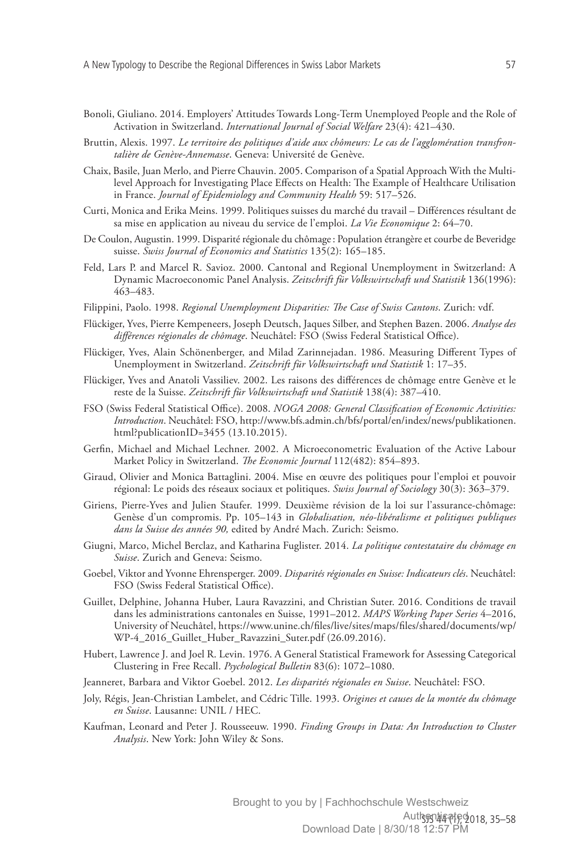- Bonoli, Giuliano. 2014. Employers' Attitudes Towards Long-Term Unemployed People and the Role of Activation in Switzerland. *International Journal of Social Welfare* 23(4): 421–430.
- Bruttin, Alexis. 1997. *Le territoire des politiques d'aide aux chômeurs: Le cas de l'agglomération transfrontalière de Genève-Annemasse*. Geneva: Université de Genève.
- Chaix, Basile, Juan Merlo, and Pierre Chauvin. 2005. Comparison of a Spatial Approach With the Multilevel Approach for Investigating Place Effects on Health: The Example of Healthcare Utilisation in France. *Journal of Epidemiology and Community Health* 59: 517–526.
- Curti, Monica and Erika Meins. 1999. Politiques suisses du marché du travail Différences résultant de sa mise en application au niveau du service de l'emploi. *La Vie Economique* 2: 64–70.
- De Coulon, Augustin. 1999. Disparité régionale du chômage: Population étrangère et courbe de Beveridge suisse. *Swiss Journal of Economics and Statistics* 135(2): 165–185.
- Feld, Lars P. and Marcel R. Savioz. 2000. Cantonal and Regional Unemployment in Switzerland: A Dynamic Macroeconomic Panel Analysis. *Zeitschrift für Volkswirtschaft und Statistik* 136(1996): 463–483.
- Filippini, Paolo. 1998. *Regional Unemployment Disparities: The Case of Swiss Cantons*. Zurich: vdf.
- Flückiger, Yves, Pierre Kempeneers, Joseph Deutsch, Jaques Silber, and Stephen Bazen. 2006. *Analyse des différences régionales de chômage*. Neuchâtel: FSO (Swiss Federal Statistical Office).
- Flückiger, Yves, Alain Schönenberger, and Milad Zarinnejadan. 1986. Measuring Different Types of Unemployment in Switzerland. *Zeitschrift für Volkswirtschaft und Statistik* 1: 17–35.
- Flückiger, Yves and Anatoli Vassiliev. 2002. Les raisons des différences de chômage entre Genève et le reste de la Suisse. *Zeitschrift für Volkswirtschaft und Statistik* 138(4): 387–410.
- FSO (Swiss Federal Statistical Office). 2008. *NOGA 2008: General Classification of Economic Activities: Introduction*. Neuchâtel: FSO, [http://www.bfs.admin.ch/bfs/portal/en/index/news/publikationen.](http://www.bfs.admin.ch/bfs/portal/en/index/news/publikationen.html?publicationID=3455) [html?publicationID=3455](http://www.bfs.admin.ch/bfs/portal/en/index/news/publikationen.html?publicationID=3455) (13.10.2015).
- Gerfin, Michael and Michael Lechner. 2002. A Microeconometric Evaluation of the Active Labour Market Policy in Switzerland. *The Economic Journal* 112(482): 854–893.
- Giraud, Olivier and Monica Battaglini. 2004. Mise en œuvre des politiques pour l'emploi et pouvoir régional: Le poids des réseaux sociaux et politiques. *Swiss Journal of Sociology* 30(3): 363–379.
- Giriens, Pierre-Yves and Julien Staufer. 1999. Deuxième révision de la loi sur l'assurance-chômage: Genèse d'un compromis. Pp. 105–143 in *Globalisation, néo-libéralisme et politiques publiques dans la Suisse des années 90,* edited by André Mach. Zurich: Seismo.
- Giugni, Marco, Michel Berclaz, and Katharina Fuglister. 2014. *La politique contestataire du chômage en Suisse*. Zurich and Geneva: Seismo.
- Goebel, Viktor and Yvonne Ehrensperger. 2009. *Disparités régionales en Suisse: Indicateurs clés*. Neuchâtel: FSO (Swiss Federal Statistical Office).
- Guillet, Delphine, Johanna Huber, Laura Ravazzini, and Christian Suter. 2016. Conditions de travail dans les administrations cantonales en Suisse, 1991–2012. *MAPS Working Paper Series* 4–2016, University of Neuchâtel, [https://www.unine.ch/files/live/sites/maps/files/shared/documents/wp/](https://www.unine.ch/files/live/sites/maps/files/shared/documents/wp/WP-4_2016_Guillet_Huber_Ravazzini_Suter.pdf) [WP-4\\_2016\\_Guillet\\_Huber\\_Ravazzini\\_Suter.pdf](https://www.unine.ch/files/live/sites/maps/files/shared/documents/wp/WP-4_2016_Guillet_Huber_Ravazzini_Suter.pdf) (26.09.2016).
- Hubert, Lawrence J. and Joel R. Levin. 1976. A General Statistical Framework for Assessing Categorical Clustering in Free Recall. *Psychological Bulletin* 83(6): 1072–1080.
- Jeanneret, Barbara and Viktor Goebel. 2012. *Les disparités régionales en Suisse*. Neuchâtel: FSO.
- Joly, Régis, Jean-Christian Lambelet, and Cédric Tille. 1993. *Origines et causes de la montée du chômage en Suisse*. Lausanne: UNIL / HEC.
- Kaufman, Leonard and Peter J. Rousseeuw. 1990. *Finding Groups in Data: An Introduction to Cluster Analysis*. New York: John Wiley & Sons.